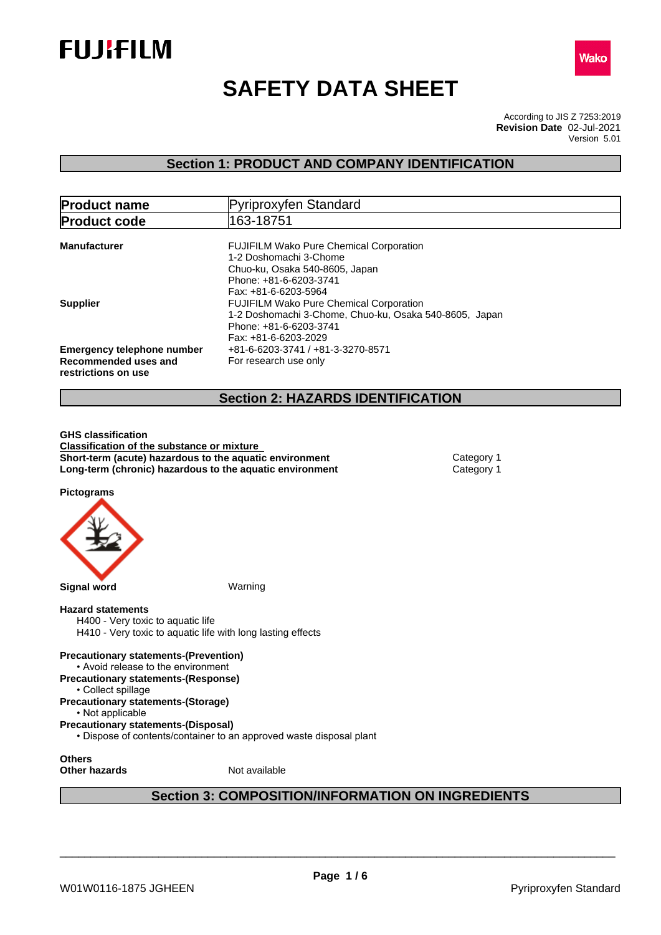



# **SAFETY DATA SHEET**

According to JIS Z 7253:2019 Version 5.01 **Revision Date** 02-Jul-2021

### **Section 1: PRODUCT AND COMPANY IDENTIFICATION**

| <b>Product name</b>                                                              | Pyriproxyfen Standard                                                                                                                                      |
|----------------------------------------------------------------------------------|------------------------------------------------------------------------------------------------------------------------------------------------------------|
| <b>Product code</b>                                                              | 163-18751                                                                                                                                                  |
| <b>Manufacturer</b>                                                              | <b>FUJIFILM Wako Pure Chemical Corporation</b><br>1-2 Doshomachi 3-Chome                                                                                   |
|                                                                                  | Chuo-ku, Osaka 540-8605, Japan<br>Phone: +81-6-6203-3741<br>Fax: +81-6-6203-5964                                                                           |
| <b>Supplier</b>                                                                  | <b>FUJIFILM Wako Pure Chemical Corporation</b><br>1-2 Doshomachi 3-Chome, Chuo-ku, Osaka 540-8605, Japan<br>Phone: +81-6-6203-3741<br>Fax: +81-6-6203-2029 |
| <b>Emergency telephone number</b><br>Recommended uses and<br>restrictions on use | +81-6-6203-3741 / +81-3-3270-8571<br>For research use only                                                                                                 |
|                                                                                  |                                                                                                                                                            |

### **Section 2: HAZARDS IDENTIFICATION**

**GHS classification Classification of the substance or mixture Short-term (acute) hazardous to the aquatic environment** Category 1 **Long-term (chronic) hazardous to the aquatic environment** Category 1

**Pictograms**



#### **Hazard statements**

H400 - Very toxic to aquatic life H410 - Very toxic to aquatic life with long lasting effects

**Precautionary statements-(Prevention)** • Avoid release to the environment **Precautionary statements-(Response)**

- Collect spillage
- **Precautionary statements-(Storage)**

• Not applicable

**Precautionary statements-(Disposal)**

• Dispose of contents/container to an approved waste disposal plant

**Others**

**Other hazards** Not available

### **Section 3: COMPOSITION/INFORMATION ON INGREDIENTS**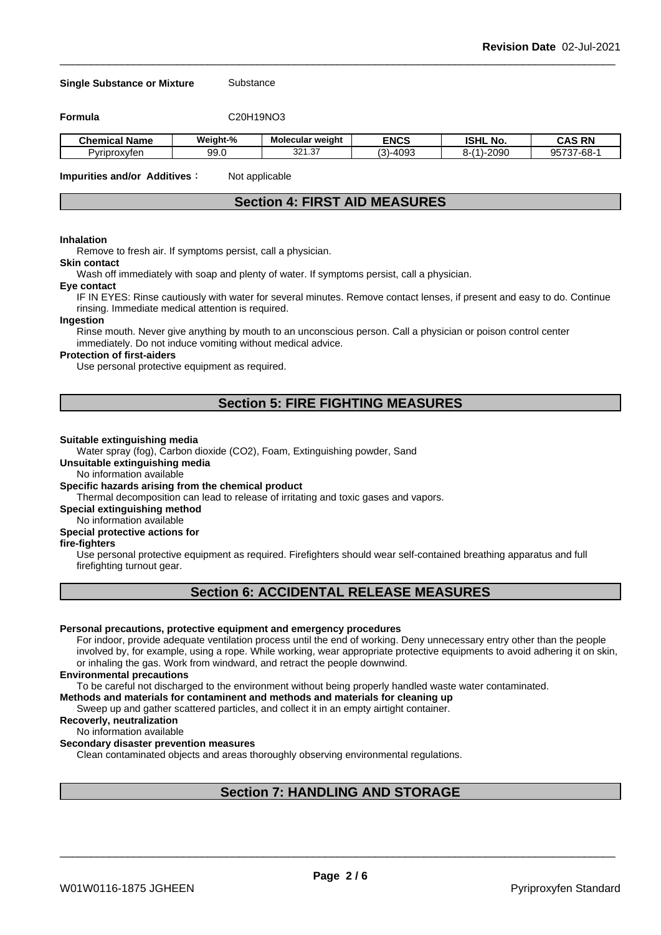#### **Single Substance or Mixture** Substance

**Formula** C20H19NO3

| .<br>-<br><b>Chemical Name</b> | Weiaht-%         | <b>Molecular weight</b> | <b>ENCS</b>      | <b>ISHL No.</b>             | <b>CAS RN</b>               |
|--------------------------------|------------------|-------------------------|------------------|-----------------------------|-----------------------------|
| Pyriproxyten                   | $\Omega$<br>JJ.V | $\sim$<br>221<br>،د.∟∠د | -409°، د.<br>マンこ | 0.000<br>.<br>$\sim$<br>vov | 05727<br>7-68-<br>uu n<br>. |

**Impurities and/or Additives**: Not applicable

### **Section 4: FIRST AID MEASURES**

#### **Inhalation**

Remove to fresh air. If symptoms persist, call a physician.

#### **Skin contact**

Wash off immediately with soap and plenty of water. If symptoms persist, calla physician.

#### **Eye contact**

IF IN EYES: Rinse cautiously with water for several minutes. Remove contact lenses, if present and easy to do. Continue rinsing. Immediate medical attention is required.

#### **Ingestion**

Rinse mouth. Never give anything by mouth to an unconscious person. Call a physician or poison control center immediately. Do not induce vomiting without medical advice.

#### **Protection of first-aiders**

Use personal protective equipment as required.

### **Section 5: FIRE FIGHTING MEASURES**

#### **Suitable extinguishing media**

Water spray (fog), Carbon dioxide (CO2), Foam, Extinguishing powder, Sand

**Unsuitable extinguishing media**

No information available

#### **Specific hazards arising from the chemical product**

Thermal decomposition can lead to release of irritating and toxic gases and vapors.

**Special extinguishing method**

#### No information available

#### **Special protective actions for**

#### **fire-fighters**

Use personal protective equipment as required.Firefighters should wear self-contained breathing apparatus and full firefighting turnout gear.

### **Section 6: ACCIDENTAL RELEASE MEASURES**

#### **Personal precautions, protective equipment and emergency procedures**

For indoor, provide adequate ventilation process until the end of working. Deny unnecessary entry other than the people involved by, for example, using a rope. While working, wear appropriate protective equipments to avoid adhering it on skin, or inhaling the gas. Work from windward, and retract the people downwind.

#### **Environmental precautions**

To be careful not discharged to the environment without being properly handled waste water contaminated.

#### **Methods and materials for contaminent and methods and materials for cleaning up**

Sweep up and gather scattered particles, and collect it in an empty airtight container.

### **Recoverly, neutralization**

#### No information available

#### **Secondary disaster prevention measures**

Clean contaminated objects and areas thoroughly observing environmental regulations.

### **Section 7: HANDLING AND STORAGE**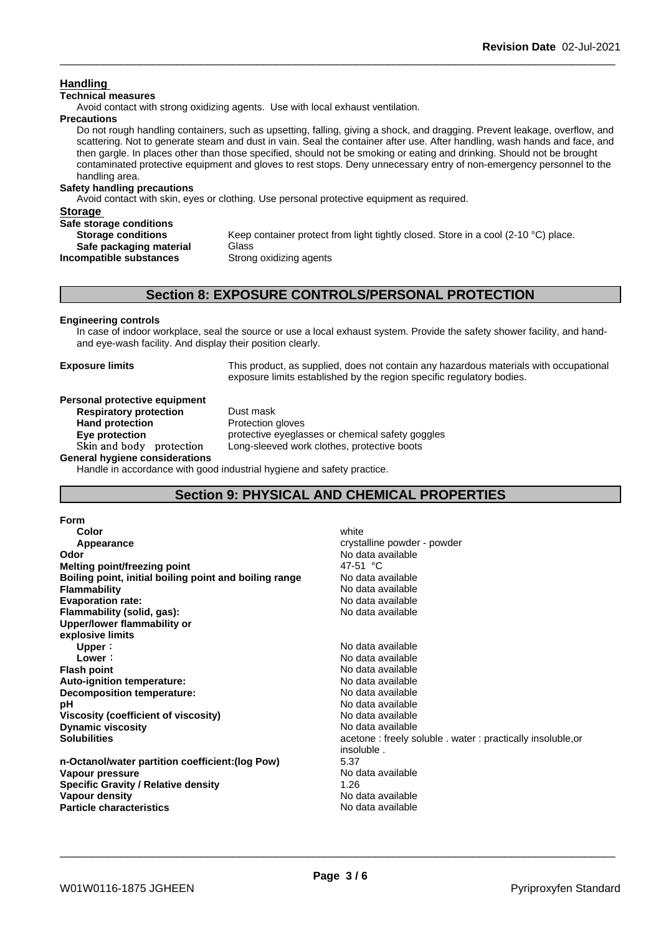### **Handling**

#### **Technical measures**

Avoid contact with strong oxidizing agents. Use with local exhaust ventilation.

#### **Precautions**

Do not rough handling containers, such as upsetting, falling, giving a shock, and dragging. Prevent leakage, overflow, and scattering. Not to generate steam and dust in vain. Seal the container after use. After handling, wash hands and face, and then gargle. In places other than those specified, should not be smoking or eating and drinking. Should not be brought contaminated protective equipment and gloves to rest stops. Deny unnecessary entry of non-emergency personnel to the handling area.

#### **Safety handling precautions**

Avoid contact with skin, eyes or clothing. Use personal protective equipment as required.

| <b>Storage</b>            |                                                                                    |
|---------------------------|------------------------------------------------------------------------------------|
| Safe storage conditions   |                                                                                    |
| <b>Storage conditions</b> | Keep container protect from light tightly closed. Store in a cool (2-10 °C) place. |
| Safe packaging material   | Glass                                                                              |
| Incompatible substances   | Strong oxidizing agents                                                            |
|                           |                                                                                    |

### **Section 8: EXPOSURE CONTROLS/PERSONAL PROTECTION**

### **Engineering controls**

In case of indoor workplace, seal the source or use a local exhaust system. Provide the safety shower facility, and handand eye-wash facility. And display their position clearly.

**Exposure limits** This product, as supplied, does not contain any hazardous materials with occupational exposure limits established by the region specific regulatory bodies.

#### **Personal protective equipment**<br>**Respiratory protection** Dust mask **Respiratory** protection

**Hand protection** Protection gloves **Eye protection Eye protective** eyeglasses or chemical safety goggles Skin and body protection Long-sleeved work clothes, protective boots

**General hygiene considerations**

Handle in accordance with good industrial hygiene and safety practice.

### **Section 9: PHYSICAL AND CHEMICAL PROPERTIES**

| <b>Form</b>                                            |                                                            |
|--------------------------------------------------------|------------------------------------------------------------|
| Color                                                  | white                                                      |
| Appearance                                             | crystalline powder - powder                                |
| Odor                                                   | No data available                                          |
| <b>Melting point/freezing point</b>                    | 47-51 °C                                                   |
| Boiling point, initial boiling point and boiling range | No data available                                          |
| <b>Flammability</b>                                    | No data available                                          |
| <b>Evaporation rate:</b>                               | No data available                                          |
| Flammability (solid, gas):                             | No data available                                          |
| Upper/lower flammability or                            |                                                            |
| explosive limits                                       |                                                            |
| Upper:                                                 | No data available                                          |
| Lower:                                                 | No data available                                          |
| <b>Flash point</b>                                     | No data available                                          |
| Auto-ignition temperature:                             | No data available                                          |
| Decomposition temperature:                             | No data available                                          |
| рH                                                     | No data available                                          |
| Viscosity (coefficient of viscosity)                   | No data available                                          |
| <b>Dynamic viscosity</b>                               | No data available                                          |
| <b>Solubilities</b>                                    | acetone: freely soluble . water: practically insoluble, or |
|                                                        | insoluble.                                                 |
| n-Octanol/water partition coefficient: (log Pow)       | 5.37                                                       |
| Vapour pressure                                        | No data available                                          |
| <b>Specific Gravity / Relative density</b>             | 1.26                                                       |
| Vapour density                                         | No data available                                          |
| <b>Particle characteristics</b>                        | No data available                                          |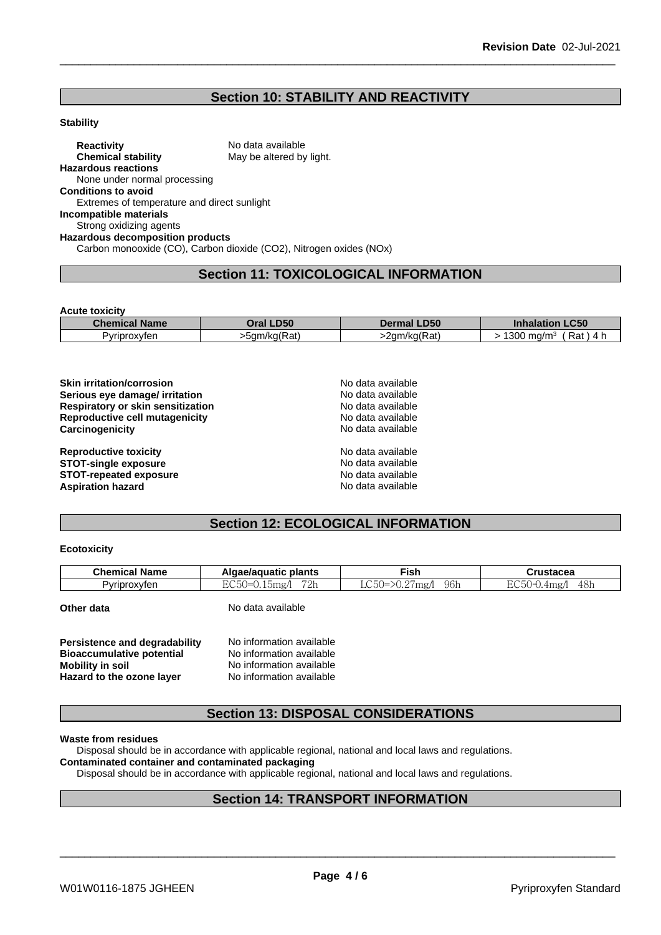### **Section 10: STABILITY AND REACTIVITY**

### **Stability**

**Reactivity** No data available<br> **Chemical stability** May be altered by May be altered by light. **Hazardous reactions** None under normal processing **Conditions to avoid** Extremes of temperature and direct sunlight **Incompatible materials** Strong oxidizing agents **Hazardous decomposition products** Carbon monooxide (CO), Carbon dioxide (CO2), Nitrogen oxides (NOx)

### **Section 11: TOXICOLOGICAL INFORMATION**

**Acute toxicity**

| Chem<br><b>Name</b><br>anice" | <b>D50</b><br><b>Dral</b> | <b>D50</b><br>De '<br>mal                                      | $\sim$ $\sim$<br>ucu<br>. .                      |
|-------------------------------|---------------------------|----------------------------------------------------------------|--------------------------------------------------|
| Pyriproxyten                  | "<br>·5am/ka(Rat)         | $\overline{\phantom{a}}$<br>∴n/ka/Rat`<br>2am<br>'Ral.<br>'NUN | -<br>300<br>Rat<br>ma/m <sup>3</sup><br>4<br>. . |

| <b>Skin irritation/corrosion</b>  | No data available |  |
|-----------------------------------|-------------------|--|
| Serious eye damage/ irritation    | No data available |  |
| Respiratory or skin sensitization | No data available |  |
| Reproductive cell mutagenicity    | No data available |  |
| Carcinogenicity                   | No data available |  |
| <b>Reproductive toxicity</b>      | No data available |  |
| <b>STOT-single exposure</b>       | No data available |  |
| <b>STOT-repeated exposure</b>     | No data available |  |
| <b>Aspiration hazard</b>          | No data available |  |

## **Section 12: ECOLOGICAL INFORMATION**

#### **Ecotoxicity**

| $\sim$<br>$\Gamma$<br>$-$<br>$P^{\sim}$<br>$\frac{1}{2}$   | <b>Chemical Name</b> | Algae/aguatic plants | <b>Fish</b>           | <b>Crustacea</b>      |
|------------------------------------------------------------|----------------------|----------------------|-----------------------|-----------------------|
| - UU U U<br>LUU<br>$\sim$<br><u>یں</u><br>$\cdot$ . $\sim$ | Pvriproxvfen         | 79h<br>bmg/          | 96 <sub>h</sub><br>mg | 48h<br>J.4mg''<br>. . |

**Other data** No data available

| <b>Persistence and degradability</b> | No information available |
|--------------------------------------|--------------------------|
| <b>Bioaccumulative potential</b>     | No information available |
| Mobility in soil                     | No information available |
| Hazard to the ozone layer            | No information available |

### **Section 13: DISPOSAL CONSIDERATIONS**

**Waste from residues**

Disposal should be in accordance with applicable regional, national and local laws and regulations.

### **Contaminated container and contaminated packaging**

Disposal should be in accordance with applicable regional, national and local laws and regulations.

### **Section 14: TRANSPORT INFORMATION**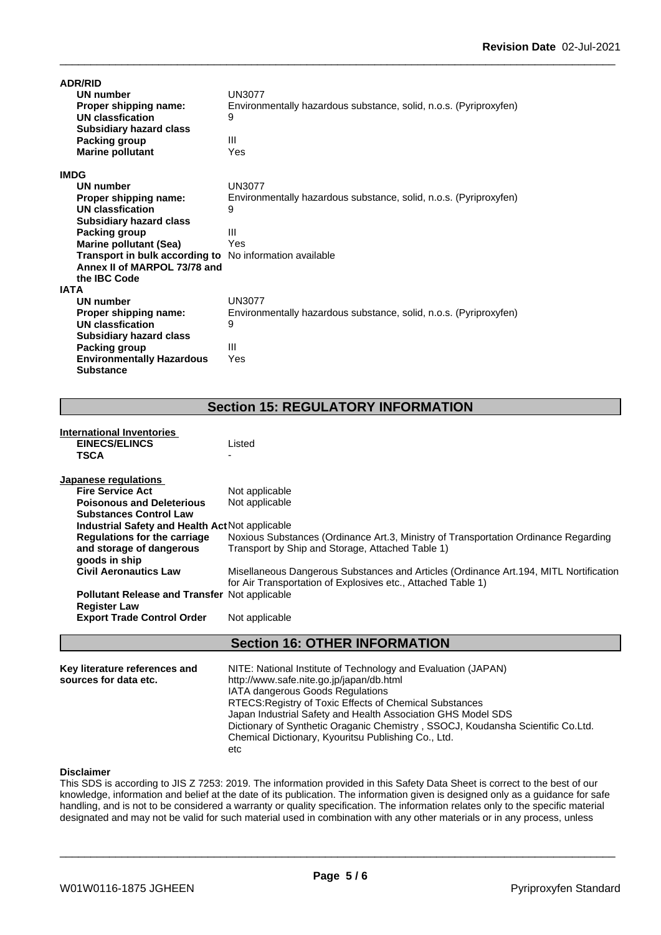| <b>ADR/RID</b>                                                 |                                                                   |
|----------------------------------------------------------------|-------------------------------------------------------------------|
| <b>UN number</b>                                               | UN3077                                                            |
| Proper shipping name:                                          | Environmentally hazardous substance, solid, n.o.s. (Pyriproxyfen) |
| UN classfication                                               | 9                                                                 |
| <b>Subsidiary hazard class</b>                                 |                                                                   |
| Packing group                                                  | Ш                                                                 |
| <b>Marine pollutant</b>                                        | Yes                                                               |
| <b>IMDG</b>                                                    |                                                                   |
| UN number                                                      | <b>UN3077</b>                                                     |
| Proper shipping name:                                          | Environmentally hazardous substance, solid, n.o.s. (Pyriproxyfen) |
| <b>UN classfication</b>                                        | 9                                                                 |
| <b>Subsidiary hazard class</b>                                 |                                                                   |
| Packing group                                                  | $\mathbf{III}$                                                    |
| <b>Marine pollutant (Sea)</b>                                  | Yes                                                               |
| <b>Transport in bulk according to</b> No information available |                                                                   |
| Annex II of MARPOL 73/78 and                                   |                                                                   |
| the IBC Code                                                   |                                                                   |
| <b>IATA</b>                                                    |                                                                   |
| UN number                                                      | <b>UN3077</b>                                                     |
| Proper shipping name:                                          | Environmentally hazardous substance, solid, n.o.s. (Pyriproxyfen) |
| UN classfication                                               | 9                                                                 |
| <b>Subsidiary hazard class</b>                                 |                                                                   |
| Packing group                                                  | Ш                                                                 |
| <b>Environmentally Hazardous</b>                               | Yes                                                               |
| <b>Substance</b>                                               |                                                                   |

## **Section 15: REGULATORY INFORMATION**

| International Inventories                            |                                                                                        |
|------------------------------------------------------|----------------------------------------------------------------------------------------|
| <b>EINECS/ELINCS</b>                                 | Listed                                                                                 |
| TSCA                                                 |                                                                                        |
| Japanese regulations                                 |                                                                                        |
| <b>Fire Service Act</b>                              | Not applicable                                                                         |
| <b>Poisonous and Deleterious</b>                     | Not applicable                                                                         |
| <b>Substances Control Law</b>                        |                                                                                        |
| Industrial Safety and Health Act Not applicable      |                                                                                        |
| <b>Regulations for the carriage</b>                  | Noxious Substances (Ordinance Art.3, Ministry of Transportation Ordinance Regarding    |
| and storage of dangerous                             | Transport by Ship and Storage, Attached Table 1)                                       |
| goods in ship                                        |                                                                                        |
| <b>Civil Aeronautics Law</b>                         | Misellaneous Dangerous Substances and Articles (Ordinance Art. 194, MITL Nortification |
|                                                      | for Air Transportation of Explosives etc., Attached Table 1)                           |
| <b>Pollutant Release and Transfer Not applicable</b> |                                                                                        |
| <b>Register Law</b>                                  |                                                                                        |
| <b>Export Trade Control Order</b>                    | Not applicable                                                                         |
|                                                      | <b>Section 16: OTHER INFORMATION</b>                                                   |

| Key literature references and | NITE: National Institute of Technology and Evaluation (JAPAN)                   |
|-------------------------------|---------------------------------------------------------------------------------|
| sources for data etc.         | http://www.safe.nite.go.jp/japan/db.html                                        |
|                               | <b>IATA dangerous Goods Regulations</b>                                         |
|                               | RTECS: Registry of Toxic Effects of Chemical Substances                         |
|                               | Japan Industrial Safety and Health Association GHS Model SDS                    |
|                               | Dictionary of Synthetic Oraganic Chemistry, SSOCJ, Koudansha Scientific Co.Ltd. |
|                               | Chemical Dictionary, Kyouritsu Publishing Co., Ltd.                             |
|                               | etc                                                                             |

### **Disclaimer**

This SDS is according to JIS Z 7253: 2019. The information provided in this Safety Data Sheet is correct to the best of our knowledge, information and belief at the date of its publication. The information given is designed only as a guidance for safe handling, and is not to be considered a warranty or quality specification. The information relates only to the specific material designated and may not be valid for such material used in combination with any other materials or in any process, unless